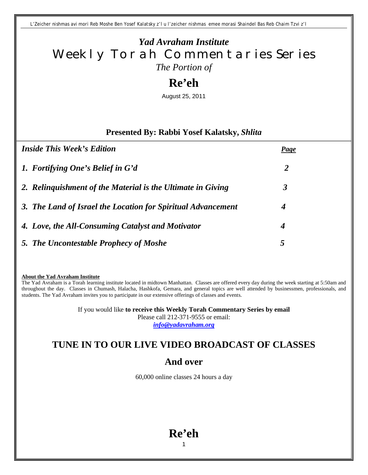*L'Zeicher nishmas avi mori Reb Moshe Ben Yosef Kalatsky z'l u l'zeicher nishmas emee morasi Shaindel Bas Reb Chaim Tzvi z'l*

## *Yad Avraham Institute* Weekly Torah Commentaries Series *The Portion of*

## **Re'eh**

August 25, 2011

#### **Presented By: Rabbi Yosef Kalatsky,** *Shlita*

| <i>Inside This Week's Edition</i>                            | <b>Page</b>      |
|--------------------------------------------------------------|------------------|
| 1. Fortifying One's Belief in G'd                            | 2                |
| 2. Relinguishment of the Material is the Ultimate in Giving  | 3                |
| 3. The Land of Israel the Location for Spiritual Advancement | 4                |
| 4. Love, the All-Consuming Catalyst and Motivator            | $\boldsymbol{4}$ |
| 5. The Uncontestable Prophecy of Moshe                       | $\mathbf{c}$     |

**About the Yad Avraham Institute**

The Yad Avraham is a Torah learning institute located in midtown Manhattan. Classes are offered every day during the week starting at 5:50am and throughout the day. Classes in Chumash, Halacha, Hashkofa, Gemara, and general topics are well attended by businessmen, professionals, and students. The Yad Avraham invites you to participate in our extensive offerings of classes and events.

> If you would like **to receive this Weekly Torah Commentary Series by email** Please call 212-371-9555 or email: *info@yadavraham.org*

## **TUNE IN TO OUR LIVE VIDEO BROADCAST OF CLASSES**

## **And over**

60,000 online classes 24 hours a day

# **Re'eh**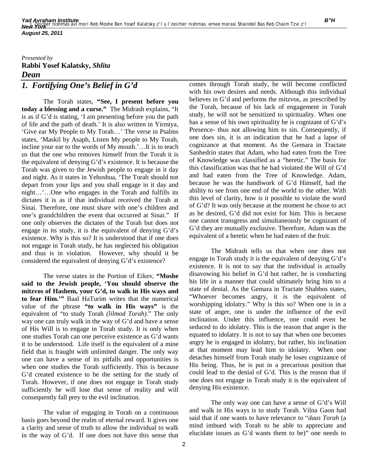#### *Presented by* **Rabbi Yosef Kalatsky,** *Shlita Dean 1. Fortifying One's Belief in G'd*

The Torah states, **"See, I present before you today a blessing and a curse."** The Midrash explains, "It is as if G'd is stating, 'I am presenting before you the path of life and the path of death.' It is also written in Yirmiya, 'Give ear My People to My Torah…' The verse in Psalms states, 'Maskil by Asaph, Listen My people to My Torah, incline your ear to the words of My mouth.'…It is to teach us that the one who removes himself from the Torah it is the equivalent of denying G'd's existence. It is because the Torah was given to the Jewish people to engage in it day and night. As it states in Yehoshua, 'The Torah should not depart from your lips and you shall engage in it day and night…'…One who engages in the Torah and fulfills its dictates it is as if that individual received the Torah at Sinai. Therefore, one must share with one's children and one's grandchildren the event that occurred at Sinai." If one only observes the dictates of the Torah but does not engage in its study, it is the equivalent of denying G'd's existence. Why is this so? It is understood that if one does not engage in Torah study, he has neglected his obligation and thus is in violation. However, why should it be considered the equivalent of denying G'd's existence?

The verse states in the Portion of Eikev, **"Moshe said to the Jewish people, 'You should observe the mitzvos of Hashem, your G'd, to walk in His ways and to fear Him.'"** Baal HaTurim writes that the numerical value of the phrase **"to walk in His ways"** is the equivalent of "to study Torah *(lilmod Torah)*." The only way one can truly walk in the way of G'd and have a sense of His Will is to engage in Torah study. It is only when one studies Torah can one perceive existence as G'd wants it to be understood. Life itself is the equivalent of a mine field that is fraught with unlimited danger. The only way one can have a sense of its pitfalls and opportunities is when one studies the Torah sufficiently. This is because G'd created existence to be the setting for the study of Torah. However, if one does not engage in Torah study sufficiently he will lose that sense of reality and will consequently fall prey to the evil inclination.

The value of engaging in Torah on a continuous basis goes beyond the realm of eternal reward. It gives one a clarity and sense of truth to allow the individual to walk in the way of G'd. If one does not have this sense that

comes through Torah study, he will become conflicted with his own desires and needs. Although this individual believes in G'd and performs the mitzvos, as prescribed by the Torah, because of his lack of engagement in Torah study, he will not be sensitized to spirituality. When one has a sense of his own spirituality he is cognizant of G'd's Presence- thus not allowing him to sin. Consequently, if one does sin, it is an indication that he had a lapse of cognizance at that moment. As the Gemara in Tractate Sanhedrin states that Adam, who had eaten from the Tree of Knowledge was classified as a "heretic." The basis for this classification was that he had violated the Will of G'd and had eaten from the Tree of Knowledge. Adam, because he was the handiwork of G'd Himself, had the ability to see from one end of the world to the other. With this level of clarity, how is it possible to violate the word of G'd? It was only because at the moment he chose to act as he desired, G'd did not exist for him. This is because one cannot transgress and simultaneously be cognizant of G'd they are mutually exclusive. Therefore, Adam was the equivalent of a heretic when he had eaten of the fruit.

The Midrash tells us that when one does not engage in Torah study it is the equivalent of denying G'd's existence. It is not to say that the individual is actually disavowing his belief in G'd but rather, he is conducting his life in a manner that could ultimately bring him to a state of denial. As the Gemara in Tractate Shabbos states, "Whoever becomes angry, it is the equivalent of worshipping idolatry." Why is this so? When one is in a state of anger, one is under the influence of the evil inclination. Under this influence, one could even be seduced to do idolatry. This is the reason that anger is the equated to idolatry. It is not to say that when one becomes angry he is engaged in idolatry, but rather, his inclination at that moment may lead him to idolatry. When one detaches himself from Torah study he loses cognizance of His being. Thus, he is put in a precarious position that could lead to the denial of G'd. This is the reason that if one does not engage in Torah study it is the equivalent of denying His existence.

The only way one can have a sense of G'd's Will and walk in His ways is to study Torah. Vilna Gaon had said that if one wants to have relevance to "*daas Torah* (a mind imbued with Torah to be able to appreciate and elucidate issues as G'd wants them to be)" one needs to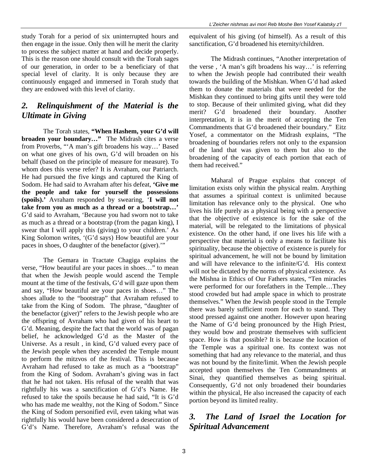#### *2. Relinquishment of the Material is the Ultimate in Giving*

The Torah states, **"When Hashem, your G'd will broaden your boundary…"** The Midrash cites a verse from Proverbs, "'A man's gift broadens his way…' Based on what one gives of his own, G'd will broaden on his behalf (based on the principle of measure for measure). To whom does this verse refer? It is Avraham, our Patriarch. He had pursued the five kings and captured the King of Sodom. He had said to Avraham after his defeat, **'Give me the people and take for yourself the possessions (spoils).'** Avraham responded by swearing, '**I will not take from you as much as a thread or a bootstrap…'**  G'd said to Avraham, 'Because you had sworn not to take as much as a thread or a bootstrap (from the pagan king), I swear that I will apply this (giving) to your children.' As King Solomon writes, '(G'd says) How beautiful are your paces in shoes, O daughter of the benefactor (giver).'"

The Gemara in Tractate Chagiga explains the verse, "How beautiful are your paces in shoes…" to mean that when the Jewish people would ascend the Temple mount at the time of the festivals, G'd will gaze upon them and say, "How beautiful are your paces in shoes…" The shoes allude to the "bootstrap" that Avraham refused to take from the King of Sodom. The phrase, "daughter of the benefactor (giver)" refers to the Jewish people who are the offspring of Avraham who had given of his heart to G'd. Meaning, despite the fact that the world was of pagan belief, he acknowledged G'd as the Master of the Universe. As a result , in kind, G'd valued every pace of the Jewish people when they ascended the Temple mount to perform the mitzvos of the festival. This is because Avraham had refused to take as much as a "bootstrap" from the King of Sodom. Avraham's giving was in fact that he had not taken. His refusal of the wealth that was rightfully his was a sanctification of G'd's Name. He refused to take the spoils because he had said, "It is G'd who has made me wealthy, not the King of Sodom." Since the King of Sodom personified evil, even taking what was rightfully his would have been considered a desecration of G'd's Name. Therefore, Avraham's refusal was the

equivalent of his giving (of himself). As a result of this sanctification, G'd broadened his eternity/children.

The Midrash continues, "Another interpretation of the verse , 'A man's gift broadens his way…' is referring to when the Jewish people had contributed their wealth towards the building of the Mishkan. When G'd had asked them to donate the materials that were needed for the Mishkan they continued to bring gifts until they were told to stop. Because of their unlimited giving, what did they merit? G'd broadened their boundary. Another interpretation, it is in the merit of accepting the Ten Commandments that G'd broadened their boundary." Eitz Yosef, a commentator on the Midrash explains, "The broadening of boundaries refers not only to the expansion of the land that was given to them but also to the broadening of the capacity of each portion that each of them had received."

Maharal of Prague explains that concept of limitation exists only within the physical realm. Anything that assumes a spiritual context is unlimited because limitation has relevance only to the physical. One who lives his life purely as a physical being with a perspective that the objective of existence is for the sake of the material, will be relegated to the limitations of physical existence. On the other hand, if one lives his life with a perspective that material is only a means to facilitate his spirituality, because the objective of existence is purely for spiritual advancement, he will not be bound by limitation and will have relevance to the infinite/G'd. His context will not be dictated by the norms of physical existence. As the Mishna in Ethics of Our Fathers states, "Ten miracles were performed for our forefathers in the Temple…They stood crowded but had ample space in which to prostrate themselves." When the Jewish people stood in the Temple there was barely sufficient room for each to stand. They stood pressed against one another. However upon hearing the Name of G'd being pronounced by the High Priest, they would bow and prostrate themselves with sufficient space. How is that possible? It is because the location of the Temple was a spiritual one. Its context was not something that had any relevance to the material, and thus was not bound by the finite/limit. When the Jewish people accepted upon themselves the Ten Commandments at Sinai, they quantified themselves as being spiritual. Consequently, G'd not only broadened their boundaries within the physical, He also increased the capacity of each portion beyond its limited reality.

#### *3. The Land of Israel the Location for Spiritual Advancement*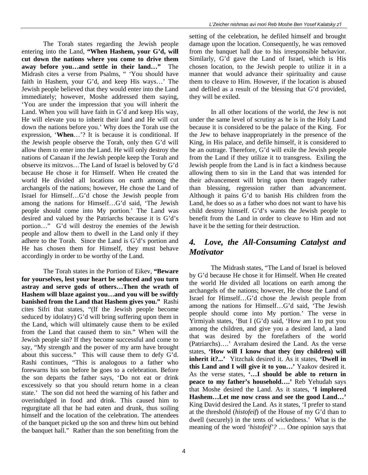The Torah states regarding the Jewish people entering into the Land, **"When Hashem, your G'd, will cut down the nations where you come to drive them away before you…and settle in their land…"** The Midrash cites a verse from Psalms, " 'You should have faith in Hashem, your G'd, and keep His ways…' The Jewish people believed that they would enter into the Land immediately; however, Moshe addressed them saying, 'You are under the impression that you will inherit the Land. When you will have faith in G'd and keep His way, He will elevate you to inherit their land and He will cut down the nations before you.' Why does the Torah use the expression, '**When**…'? It is because it is conditional. If the Jewish people observe the Torah, only then G'd will allow them to enter into the Land. He will only destroy the nations of Canaan if the Jewish people keep the Torah and observe its mitzvos…The Land of Israel is beloved by G'd because He chose it for Himself. When He created the world He divided all locations on earth among the archangels of the nations; however, He chose the Land of Israel for Himself…G'd chose the Jewish people from among the nations for Himself…G'd said, 'The Jewish people should come into My portion.' The Land was desired and valued by the Patriarchs because it is G'd's portion…" G'd will destroy the enemies of the Jewish people and allow them to dwell in the Land only if they adhere to the Torah. Since the Land is G'd's portion and He has chosen them for Himself, they must behave accordingly in order to be worthy of the Land.

The Torah states in the Portion of Eikev, **"Beware for yourselves, lest your heart be seduced and you turn astray and serve gods of others…Then the wrath of Hashem will blaze against you…and you will be swiftly banished from the Land that Hashem gives you."** Rashi cites Sifri that states, "(If the Jewish people become seduced by idolatry) G'd will bring suffering upon them in the Land, which will ultimately cause them to be exiled from the Land that caused them to sin." When will the Jewish people sin? If they become successful and come to say, "My strength and the power of my arm have brought about this success." This will cause them to defy G'd. Rashi continues, "This is analogous to a father who forewarns his son before he goes to a celebration. Before the son departs the father says, 'Do not eat or drink excessively so that you should return home in a clean state.' The son did not heed the warning of his father and overindulged in food and drink. This caused him to regurgitate all that he had eaten and drunk, thus soiling himself and the location of the celebration. The attendees of the banquet picked up the son and threw him out behind the banquet hall." Rather than the son benefiting from the

setting of the celebration, he defiled himself and brought damage upon the location. Consequently, he was removed from the banquet hall due to his irresponsible behavior. Similarly, G'd gave the Land of Israel, which is His chosen location, to the Jewish people to utilize it in a manner that would advance their spirituality and cause them to cleave to Him. However, if the location is abused and defiled as a result of the blessing that G'd provided, they will be exiled.

In all other locations of the world, the Jew is not under the same level of scrutiny as he is in the Holy Land because it is considered to be the palace of the King. For the Jew to behave inappropriately in the presence of the King, in His palace, and defile himself, it is considered to be an outrage. Therefore, G'd will exile the Jewish people from the Land if they utilize it to transgress. Exiling the Jewish people from the Land is in fact a kindness because allowing them to sin in the Land that was intended for their advancement will bring upon them tragedy rather than blessing, regression rather than advancement. Although it pains G'd to banish His children from the Land, he does so as a father who does not want to have his child destroy himself. G'd's wants the Jewish people to benefit from the Land in order to cleave to Him and not have it be the setting for their destruction.

#### *4. Love, the All-Consuming Catalyst and Motivator*

The Midrash states, "The Land of Israel is beloved by G'd because He chose it for Himself. When He created the world He divided all locations on earth among the archangels of the nations; however, He chose the Land of Israel for Himself…G'd chose the Jewish people from among the nations for Himself…G'd said, 'The Jewish people should come into My portion.' The verse in Yirmiyah states, 'But I (G'd) said, 'How am I to put you among the children, and give you a desired land, a land that was desired by the forefathers of the world (Patriarchs)….' Avraham desired the Land. As the verse states, **'How will I know that they (my children) will inherit it?...'** Yitzchak desired it. As it states, **'Dwell in this Land and I will give it to you…'** Yaakov desired it. As the verse states, **'…I should be able to return in peace to my father's household….'** Reb Yehudah says that Moshe desired the Land. As it states, **'I implored Hashem…Let me now cross and see the good Land…'**  King David desired the Land. As it states, 'I prefer to stand at the threshold (*histofeif*) of the House of my G'd than to dwell (securely) in the tents of wickedness.' What is the meaning of the word *'histofeif'?* … One opinion says that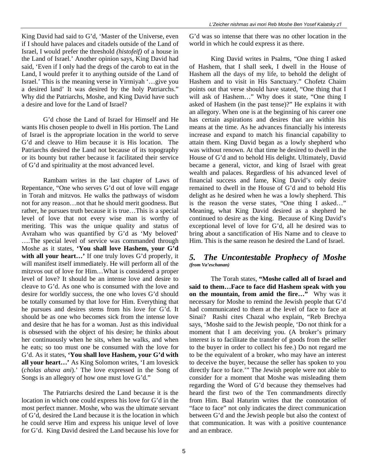King David had said to G'd, 'Master of the Universe, even if I should have palaces and citadels outside of the Land of Israel, I would prefer the threshold *(histofeif)* of a house in the Land of Israel.' Another opinion says, King David had said, 'Even if I only had the dregs of the carob to eat in the Land, I would prefer it to anything outside of the Land of Israel.' This is the meaning verse in Yirmiyah '…give you a desired land' It was desired by the holy Patriarchs." Why did the Patriarchs, Moshe, and King David have such a desire and love for the Land of Israel?

G'd chose the Land of Israel for Himself and He wants His chosen people to dwell in His portion. The Land of Israel is the appropriate location in the world to serve G'd and cleave to Him because it is His location. The Patriarchs desired the Land not because of its topography or its bounty but rather because it facilitated their service of G'd and spirituality at the most advanced level.

Rambam writes in the last chapter of Laws of Repentance, "One who serves G'd out of love will engage in Torah and mitzvos. He walks the pathways of wisdom not for any reason…not that he should merit goodness. But rather, he pursues truth because it is true…This is a special level of love that not every wise man is worthy of meriting. This was the unique quality and status of Avraham who was quantified by G'd as 'My beloved' ….The special level of service was commanded through Moshe as it states, **'You shall love Hashem, your G'd**  with all your heart...' If one truly loves G'd properly, it will manifest itself immediately. He will perform all of the mitzvos out of love for Him…What is considered a proper level of love? It should be an intense love and desire to cleave to G'd. As one who is consumed with the love and desire for worldly success, the one who loves G'd should be totally consumed by that love for Him. Everything that he pursues and desires stems from his love for G'd. It should be as one who becomes sick from the intense love and desire that he has for a woman. Just as this individual is obsessed with the object of his desire; he thinks about her continuously when he sits, when he walks, and when he eats; so too must one be consumed with the love for G'd. As it states, **'You shall love Hashem, your G'd with all your heart…'** As King Solomon writes, 'I am lovesick (*cholas ahava ani*).' The love expressed in the Song of Songs is an allegory of how one must love G'd."

The Patriarchs desired the Land because it is the location in which one could express his love for G'd in the most perfect manner. Moshe, who was the ultimate servant of G'd, desired the Land because it is the location in which he could serve Him and express his unique level of love for G'd. King David desired the Land because his love for

G'd was so intense that there was no other location in the world in which he could express it as there.

King David writes in Psalms, "One thing I asked of Hashem, that I shall seek, I dwell in the House of Hashem all the days of my life, to behold the delight of Hashem and to visit in His Sanctuary." Chofetz Chaim points out that verse should have stated, "One thing that I will ask of Hashem…" Why does it state, "One thing I asked of Hashem (in the past tense)?" He explains it with an allegory. When one is at the beginning of his career one has certain aspirations and desires that are within his means at the time. As he advances financially his interests increase and expand to match his financial capability to attain them. King David began as a lowly shepherd who was without renown. At that time he desired to dwell in the House of G'd and to behold His delight. Ultimately, David became a general, victor, and king of Israel with great wealth and palaces. Regardless of his advanced level of financial success and fame, King David's only desire remained to dwell in the House of G'd and to behold His delight as he desired when he was a lowly shepherd. This is the reason the verse states, "One thing I asked…" Meaning, what King David desired as a shepherd he continued to desire as the king. Because of King David's exceptional level of love for G'd, all he desired was to bring about a sanctification of His Name and to cleave to Him. This is the same reason he desired the Land of Israel.

#### *5. The Uncontestable Prophecy of Moshe (from Va'eschanan)*

The Torah states, **"Moshe called all of Israel and said to them…Face to face did Hashem speak with you on the mountain, from amid the fire…"** Why was it necessary for Moshe to remind the Jewish people that G'd had communicated to them at the level of face to face at Sinai? Rashi cites Chazal who explain, "Reb Brechya says, 'Moshe said to the Jewish people, 'Do not think for a moment that I am deceiving you. (A broker's primary interest is to facilitate the transfer of goods from the seller to the buyer in order to collect his fee.) Do not regard me to be the equivalent of a broker, who may have an interest to deceive the buyer, because the seller has spoken to you directly face to face.'" The Jewish people were not able to consider for a moment that Moshe was misleading them regarding the Word of G'd because they themselves had heard the first two of the Ten commandments directly from Him. Baal Haturim writes that the connotation of "face to face" not only indicates the direct communication between G'd and the Jewish people but also the context of that communication. It was with a positive countenance and an embrace.